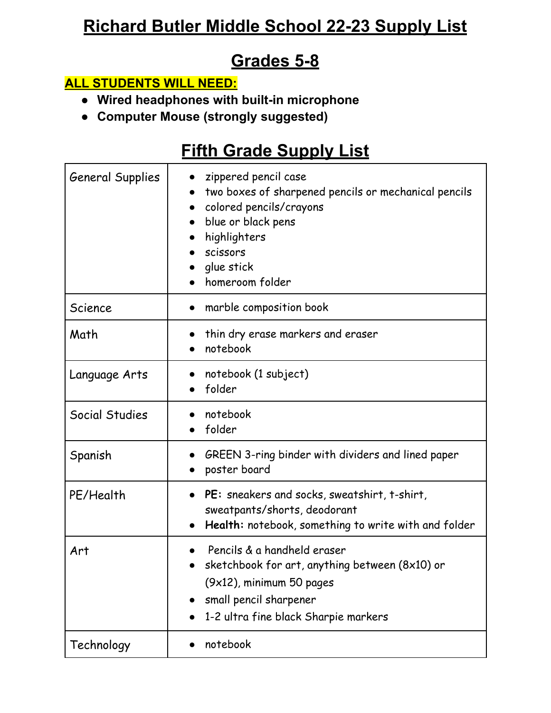# **Richard Butler Middle School 22-23 Supply List**

#### **Grades 5-8**

#### **ALL STUDENTS WILL NEED:**

- **● Wired headphones with built-in microphone**
- **● Computer Mouse (strongly suggested)**

## **Fifth Grade Supply List**

| <b>General Supplies</b> | zippered pencil case<br>two boxes of sharpened pencils or mechanical pencils<br>colored pencils/crayons<br>blue or black pens<br>highlighters<br>scissors<br>glue stick<br>homeroom folder |
|-------------------------|--------------------------------------------------------------------------------------------------------------------------------------------------------------------------------------------|
| Science                 | marble composition book<br>$\bullet$                                                                                                                                                       |
| Math                    | thin dry erase markers and eraser<br>notebook                                                                                                                                              |
| Language Arts           | notebook (1 subject)<br>folder<br>$\bullet$                                                                                                                                                |
| Social Studies          | notebook<br>folder                                                                                                                                                                         |
| Spanish                 | GREEN 3-ring binder with dividers and lined paper<br>poster board<br>$\bullet$                                                                                                             |
| PE/Health               | PE: sneakers and socks, sweatshirt, t-shirt,<br>sweatpants/shorts, deodorant<br>Health: notebook, something to write with and folder                                                       |
| Art                     | Pencils & a handheld eraser<br>sketchbook for art, anything between (8x10) or<br>(9x12), minimum 50 pages<br>small pencil sharpener<br>1-2 ultra fine black Sharpie markers                |
| Technology              | notebook                                                                                                                                                                                   |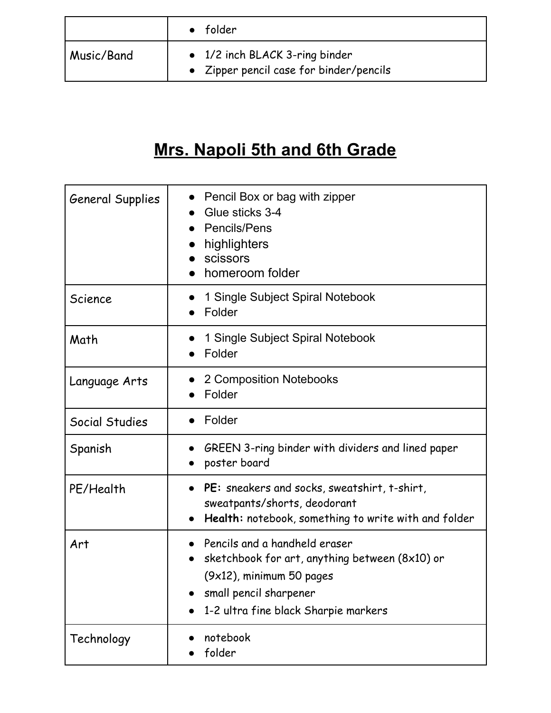|            | folder                                                                    |
|------------|---------------------------------------------------------------------------|
| Music/Band | • 1/2 inch BLACK 3-ring binder<br>• Zipper pencil case for binder/pencils |

# **Mrs. Napoli 5th and 6th Grade**

| <b>General Supplies</b> | Pencil Box or bag with zipper<br>Glue sticks 3-4<br>Pencils/Pens<br>highlighters<br>scissors<br>homeroom folder                                                                  |
|-------------------------|----------------------------------------------------------------------------------------------------------------------------------------------------------------------------------|
| Science                 | 1 Single Subject Spiral Notebook<br>Folder                                                                                                                                       |
| Math                    | 1 Single Subject Spiral Notebook<br>Folder                                                                                                                                       |
| Language Arts           | 2 Composition Notebooks<br>Folder                                                                                                                                                |
| Social Studies          | Folder                                                                                                                                                                           |
| Spanish                 | GREEN 3-ring binder with dividers and lined paper<br>poster board                                                                                                                |
| PE/Health               | PE: sneakers and socks, sweatshirt, t-shirt,<br>$\bullet$<br>sweatpants/shorts, deodorant<br>Health: notebook, something to write with and folder<br>$\bullet$                   |
| Art                     | Pencils and a handheld eraser<br>sketchbook for art, anything between (8x10) or<br>$(9x12)$ , minimum 50 pages<br>small pencil sharpener<br>1-2 ultra fine black Sharpie markers |
| Technology              | notebook<br>folder                                                                                                                                                               |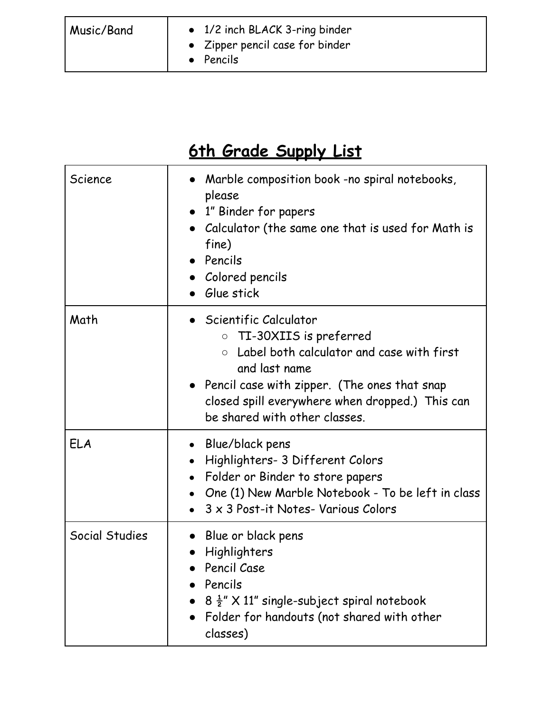| Music/Band | • 1/2 inch BLACK 3-ring binder<br>• Zipper pencil case for binder<br>Pencils |
|------------|------------------------------------------------------------------------------|
|            |                                                                              |

# **6th Grade Supply List**

| Science        | Marble composition book -no spiral notebooks,<br>please<br>• 1" Binder for papers<br>Calculator (the same one that is used for Math is<br>fine)<br>• Pencils<br>Colored pencils<br>Glue stick                                                                                |
|----------------|------------------------------------------------------------------------------------------------------------------------------------------------------------------------------------------------------------------------------------------------------------------------------|
| Math           | Scientific Calculator<br>TI-30XIIS is preferred<br>$\circ$<br>Label both calculator and case with first<br>$\bigcirc$<br>and last name<br>• Pencil case with zipper. (The ones that snap<br>closed spill everywhere when dropped.) This can<br>be shared with other classes. |
| <b>ELA</b>     | Blue/black pens<br>Highlighters- 3 Different Colors<br>Folder or Binder to store papers<br>$\bullet$<br>One (1) New Marble Notebook - To be left in class<br>$\bullet$<br>3 x 3 Post-it Notes- Various Colors                                                                |
| Social Studies | Blue or black pens<br>Highlighters<br>Pencil Case<br>Pencils<br>$8\frac{1}{2}$ " X 11" single-subject spiral notebook<br>Folder for handouts (not shared with other<br>classes)                                                                                              |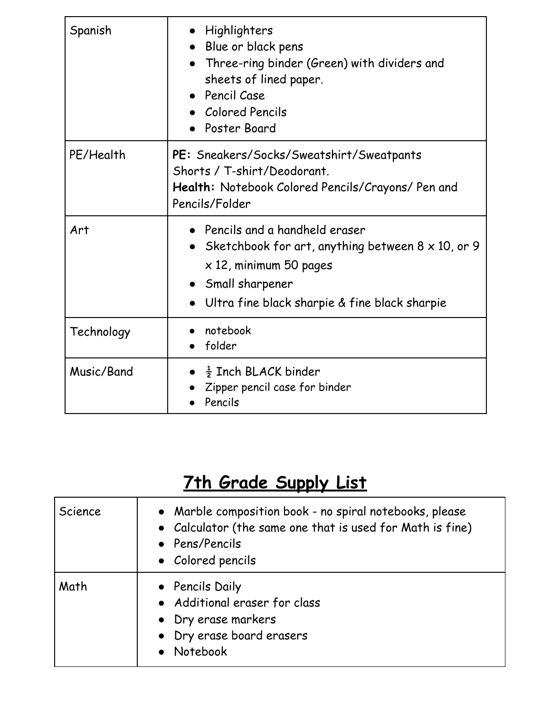| Spanish    | • Highlighters<br>Blue or black pens<br>Three-ring binder (Green) with dividers and<br>sheets of lined paper.<br>• Pencil Case<br>Colored Pencils<br>Poster Board                                     |
|------------|-------------------------------------------------------------------------------------------------------------------------------------------------------------------------------------------------------|
| PE/Health  | PE: Sneakers/Socks/Sweatshirt/Sweatpants<br>Shorts / T-shirt/Deodorant.<br>Health: Notebook Colored Pencils/Crayons/ Pen and<br>Pencils/Folder                                                        |
| Art        | • Pencils and a handheld eraser<br>• Sketchbook for art, anything between $8 \times 10$ , or 9<br>$\times$ 12, minimum 50 pages<br>• Small sharpener<br>Ultra fine black sharpie & fine black sharpie |
| Technology | notebook<br>folder                                                                                                                                                                                    |
| Music/Band | $\bullet$ $\frac{1}{2}$ Inch BLACK binder<br>Zipper pencil case for binder<br>Pencils                                                                                                                 |

# **7th Grade Supply List**

| Science | • Marble composition book - no spiral notebooks, please<br>• Calculator (the same one that is used for Math is fine)<br>• Pens/Pencils<br>• Colored pencils |
|---------|-------------------------------------------------------------------------------------------------------------------------------------------------------------|
| Math    | • Pencils Daily<br>• Additional eraser for class<br>• Dry erase markers<br>• Dry erase board erasers<br>• Notebook                                          |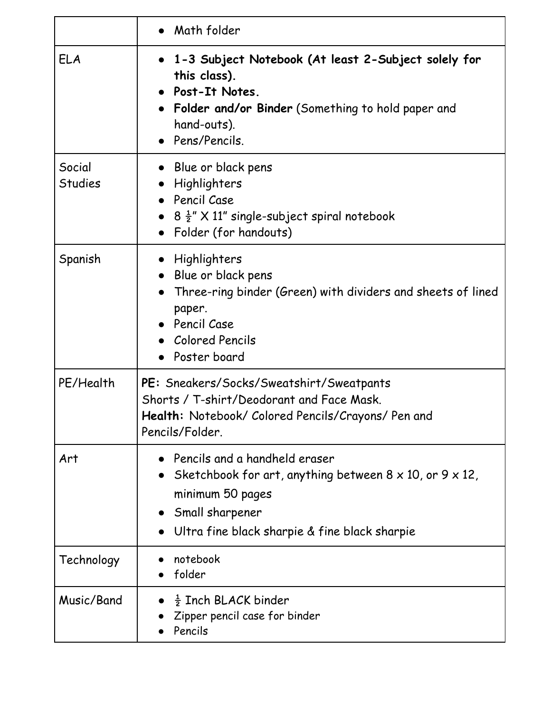|                          | • Math folder                                                                                                                                                                                    |
|--------------------------|--------------------------------------------------------------------------------------------------------------------------------------------------------------------------------------------------|
| <b>ELA</b>               | 1-3 Subject Notebook (At least 2-Subject solely for<br>this class).<br>Post-It Notes.<br>Folder and/or Binder (Something to hold paper and<br>hand-outs).<br>Pens/Pencils.                       |
| Social<br><b>Studies</b> | Blue or black pens<br>Highlighters<br>Pencil Case<br>$8\frac{1}{2}$ " X 11" single-subject spiral notebook<br>Folder (for handouts)                                                              |
| Spanish                  | Highlighters<br>Blue or black pens<br>Three-ring binder (Green) with dividers and sheets of lined<br>paper.<br>Pencil Case<br><b>Colored Pencils</b><br>Poster board                             |
| PE/Health                | PE: Sneakers/Socks/Sweatshirt/Sweatpants<br>Shorts / T-shirt/Deodorant and Face Mask.<br>Health: Notebook/ Colored Pencils/Crayons/ Pen and<br>Pencils/Folder.                                   |
| Art                      | Pencils and a handheld eraser<br>Sketchbook for art, anything between $8 \times 10$ , or $9 \times 12$ ,<br>minimum 50 pages<br>Small sharpener<br>Ultra fine black sharpie & fine black sharpie |
| Technology               | notebook<br>folder                                                                                                                                                                               |
| Music/Band               | $\frac{1}{2}$ Inch BLACK binder<br>Zipper pencil case for binder<br>Pencils                                                                                                                      |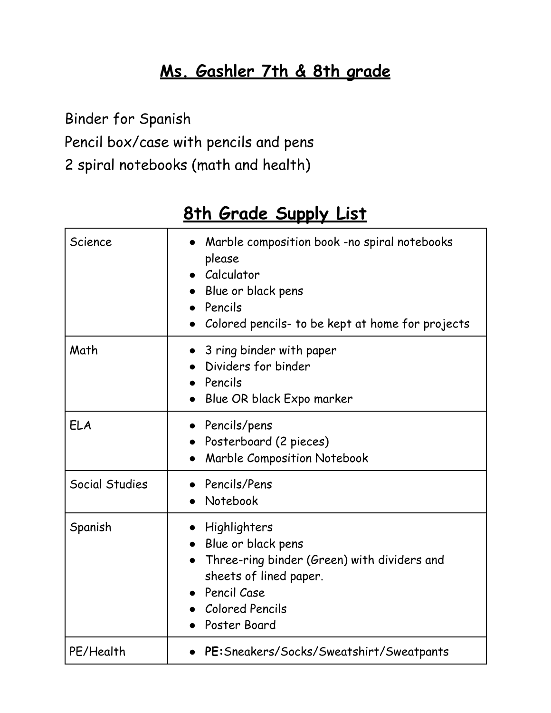# **Ms. Gashler 7th & 8th grade**

Binder for Spanish

Pencil box/case with pencils and pens

2 spiral notebooks (math and health)

| Science        | Marble composition book -no spiral notebooks<br>please<br>• Calculator<br>• Blue or black pens<br>Pencils<br>Colored pencils- to be kept at home for projects   |
|----------------|-----------------------------------------------------------------------------------------------------------------------------------------------------------------|
| Math           | 3 ring binder with paper<br>Dividers for binder<br>Pencils<br>Blue OR black Expo marker                                                                         |
| ELA            | • Pencils/pens<br>• Posterboard (2 pieces)<br>Marble Composition Notebook<br>$\bullet$                                                                          |
| Social Studies | Pencils/Pens<br>Notebook                                                                                                                                        |
| Spanish        | Highlighters<br>Blue or black pens<br>Three-ring binder (Green) with dividers and<br>sheets of lined paper.<br>• Pencil Case<br>Colored Pencils<br>Poster Board |
| PE/Health      | • PE: Sneakers/Socks/Sweatshirt/Sweatpants                                                                                                                      |

### **8th Grade Supply List**